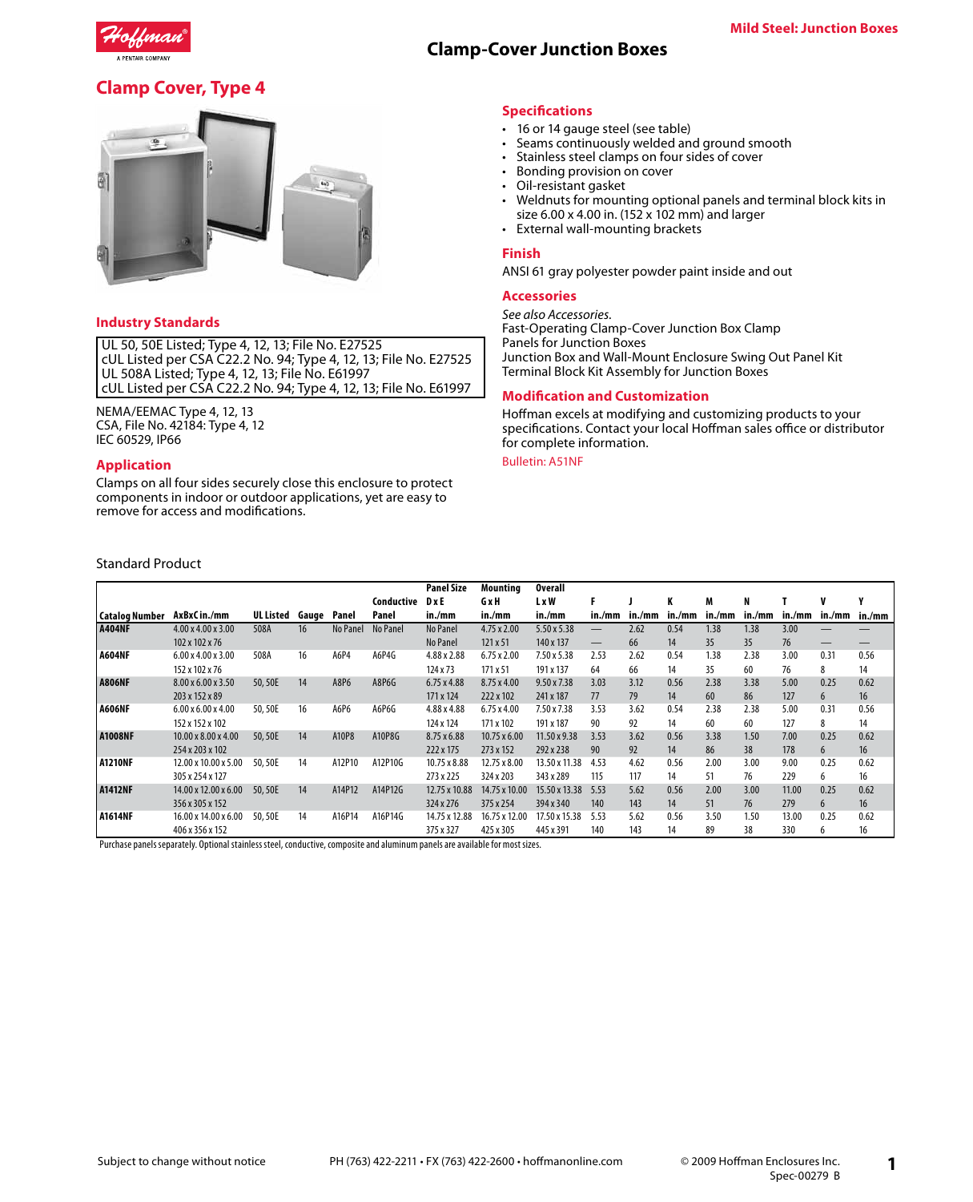

# **Clamp-Cover Junction Boxes**

# **Clamp Cover, Type 4**



### **Industry Standards**

UL 50, 50E Listed; Type 4, 12, 13; File No. E27525 cUL Listed per CSA C22.2 No. 94; Type 4, 12, 13; File No. E27525 UL 508A Listed; Type 4, 12, 13; File No. E61997 cUL Listed per CSA C22.2 No. 94; Type 4, 12, 13; File No. E61997

NEMA/EEMAC Type 4, 12, 13 CSA, File No. 42184: Type 4, 12 IEC 60529, IP66

### **Application**

Clamps on all four sides securely close this enclosure to protect components in indoor or outdoor applications, yet are easy to remove for access and modifications.

### Standard Product

### **Specifications**

- 16 or 14 gauge steel (see table)<br>• Seams continuously welded an
- Seams continuously welded and ground smooth
- Stainless steel clamps on four sides of cover<br>• Bonding provision on cover
- Bonding provision on cover
- Oil-resistant gasket
- Weldnuts for mounting optional panels and terminal block kits in size 6.00 x 4.00 in. (152 x 102 mm) and larger
- External wall-mounting brackets

#### **Finish**

ANSI 61 gray polyester powder paint inside and out

### **Accessories**

*See also Accessories.* Fast-Operating Clamp-Cover Junction Box Clamp

Panels for Junction Boxes Junction Box and Wall-Mount Enclosure Swing Out Panel Kit Terminal Block Kit Assembly for Junction Boxes

#### **Modification and Customization**

Hoffman excels at modifying and customizing products to your specifications. Contact your local Hoffman sales office or distributor for complete information.

#### Bulletin: A51NF

|                |                                  |           |       |                 |            | <b>Panel Size</b> | Mounting            | <b>Overall</b>     |        |        |        |        |        |        |        |        |
|----------------|----------------------------------|-----------|-------|-----------------|------------|-------------------|---------------------|--------------------|--------|--------|--------|--------|--------|--------|--------|--------|
|                |                                  |           |       |                 | Conductive | <b>D</b> xE       | GxH                 | <b>LxW</b>         |        |        | K      | M      | N      |        | V      | Y      |
| Catalog Number | AxBxC in./mm                     | UL Listed | Gauge | Panel           | Panel      | in./mm            | in./mm              | in./mm             | in./mm | in./mm | in./mm | in./mm | in./mm | in./mm | in./mm | in./mm |
| <b>A404NF</b>  | 4.00 x 4.00 x 3.00               | 508A      | 16    | <b>No Panel</b> | No Panel   | No Panel          | 4.75 x 2.00         | 5.50 x 5.38        |        | 2.62   | 0.54   | 1.38   | 1.38   | 3.00   |        |        |
|                | 102 x 102 x 76                   |           |       |                 |            | No Panel          | $121 \times 51$     | 140 x 137          |        | 66     | 14     | 35     | 35     | 76     | –      |        |
| <b>A604NF</b>  | $6.00 \times 4.00 \times 3.00$   | 508A      | 16    | A6P4            | A6P4G      | 4.88 x 2.88       | $6.75 \times 2.00$  | $7.50 \times 5.38$ | 2.53   | 2.62   | 0.54   | 1.38   | 2.38   | 3.00   | 0.31   | 0.56   |
|                | 152 x 102 x 76                   |           |       |                 |            | $124 \times 73$   | 171x51              | 191 x 137          | 64     | 66     | 14     | 35     | 60     | 76     | 8      | 14     |
| <b>A806NF</b>  | $8.00 \times 6.00 \times 3.50$   | 50,50E    | 14    | A8P6            | A8P6G      | 6.75 x 4.88       | 8.75 x 4.00         | $9.50 \times 7.38$ | 3.03   | 3.12   | 0.56   | 2.38   | 3.38   | 5.00   | 0.25   | 0.62   |
|                | 203 x 152 x 89                   |           |       |                 |            | 171 x 124         | 222 x 102           | 241 x 187          | 77     | 79     | 14     | 60     | 86     | 127    | 6      | 16     |
| <b>A606NF</b>  | $6.00 \times 6.00 \times 4.00$   | 50, 50E   | 16    | A6P6            | A6P6G      | 4.88 x 4.88       | $6.75 \times 4.00$  | 7.50 x 7.38        | 3.53   | 3.62   | 0.54   | 2.38   | 2.38   | 5.00   | 0.31   | 0.56   |
|                | 152 x 152 x 102                  |           |       |                 |            | 124 x 124         | 171 x 102           | 191 x 187          | 90     | 92     | 14     | 60     | 60     | 127    | 8      | 14     |
| <b>A1008NF</b> | $10.00 \times 8.00 \times 4.00$  | 50,50E    | 14    | A10P8           | A10P8G     | 8.75 x 6.88       | $10.75 \times 6.00$ | 11.50 x 9.38       | 3.53   | 3.62   | 0.56   | 3.38   | 1.50   | 7.00   | 0.25   | 0.62   |
|                | 254 x 203 x 102                  |           |       |                 |            | 222 x 175         | 273 x 152           | 292 x 238          | 90     | 92     | 14     | 86     | 38     | 178    | 6      | 16     |
| <b>A1210NF</b> | 12.00 x 10.00 x 5.00             | 50, 50E   | 14    | A12P10          | A12P10G    | 10.75 x 8.88      | 12.75 x 8.00        | 13.50 x 11.38      | 4.53   | 4.62   | 0.56   | 2.00   | 3.00   | 9.00   | 0.25   | 0.62   |
|                | 305 x 254 x 127                  |           |       |                 |            | 273 x 225         | 324 x 203           | 343 x 289          | 115    | 117    | 14     | 51     | 76     | 229    | 6      | 16     |
| <b>A1412NF</b> | 14.00 x 12.00 x 6.00             | 50,50E    | 14    | A14P12          | A14P12G    | 12.75 x 10.88     | 14.75 x 10.00       | 15.50 x 13.38      | 5.53   | 5.62   | 0.56   | 2.00   | 3.00   | 11.00  | 0.25   | 0.62   |
|                | 356 x 305 x 152                  |           |       |                 |            | 324 x 276         | 375 x 254           | 394 x 340          | 140    | 143    | 14     | 51     | 76     | 279    | 6      | 16     |
| <b>A1614NF</b> | $16.00 \times 14.00 \times 6.00$ | 50,50E    | 14    | A16P14          | A16P14G    | 14.75 x 12.88     | 16.75 x 12.00       | 17.50 x 15.38      | 5.53   | 5.62   | 0.56   | 3.50   | 1.50   | 13.00  | 0.25   | 0.62   |
|                | 406 x 356 x 152                  |           |       |                 |            | 375 x 327         | 425 x 305           | 445 x 391          | 140    | 143    | 14     | 89     | 38     | 330    | 6      | 16     |

Purchase panels separately. Optional stainless steel, conductive, composite and aluminum panels are available for most sizes.